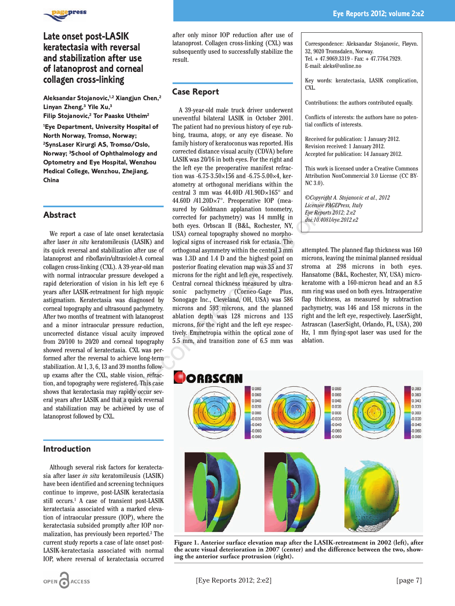

# **Late onset post-LASIK keratectasia with reversal and stabilization after use of latanoprost and corneal collagen cross-linking**

**Aleksandar Stojanovic,1,2 Xiangjun Chen,2 Linyan Zheng,3 Yile Xu,3 Filip Stojanovic,2 Tor Paaske Utheim2**

**1 Eye Department, University Hospital of North Norway, Tromsø, Norway; 2 SynsLaser Kirurgi AS, Tromsø/Oslo, Norway; 3School of Ophthalmology and Optometry and Eye Hospital, Wenzhou Medical College, Wenzhou, Zhejiang, China**

### **Abstract**

We report a case of late onset keratectasia after laser *in situ* keratomileusis (LASIK) and its quick reversal and stabilization after use of latanoprost and riboflavin/ultraviolet-A corneal collagen cross-linking (CXL). A 39-year-old man with normal intraocular pressure developed a rapid deterioration of vision in his left eye 6 years after LASIK-retreatment for high myopic astigmatism. Keratectasia was diagnosed by corneal topography and ultrasound pachymetry. After two months of treatment with latanoprost and a minor intraocular pressure reduction, uncorrected distance visual acuity improved from 20/100 to 20/20 and corneal topography showed reversal of keratectasia. CXL was performed after the reversal to achieve long-term stabilization. At 1, 3, 6, 13 and 39 months followup exams after the CXL, stable vision, refraction, and topography were registered. This case shows that keratectasia may rapidly occur several years after LASIK and that a quick reversal and stabilization may be achieved by use of latanoprost followed by CXL.

### **Introduction**

Although several risk factors for keratectasia after laser *in situ* keratomileusis (LASIK) have been identified and screening techniques continue to improve, post-LASIK keratectasia still occurs.<sup>1</sup> A case of transient post-LASIK keratectasia associated with a marked elevation of intraocular pressure (IOP), where the keratectasia subsided promptly after IOP normalization, has previously been reported.2 The current study reports a case of late onset post-LASIK-keratectasia associated with normal IOP, where reversal of keratectasia occurred

after only minor IOP reduction after use of latanoprost. Collagen cross-linking (CXL) was subsequently used to successfully stabilize the result.

## **Case Report**

A 39-year-old male truck driver underwent uneventful bilateral LASIK in October 2001. The patient had no previous history of eye rubbing, trauma, atopy, or any eye disease. No family history of keratoconus was reported. His corrected distance visual acuity (CDVA) before LASIK was 20/16 in both eyes. For the right and the left eye the preoperative manifest refraction was -6.75-3.50 $\times$ 156 and -6.75-5.00 $\times$ 4, keratometry at orthogonal meridians within the central 3 mm was  $44.40D / 41.90D \times 165^{\circ}$  and 44.60D /41.20D×7°. Preoperative IOP (measured by Goldmann applanation tonometry, corrected for pachymetry) was 14 mmHg in both eyes. Orbscan II (B&L, Rochester, NY, USA) corneal topography showed no morphological signs of increased risk for ectasia. The orthogonal asymmetry within the central 3 mm was 1.3D and 1.4 D and the highest point on posterior floating elevation map was 35 and 37 microns for the right and left eye, respectively. Central corneal thickness measured by ultrasonic pachymetry (Corneo-Gage Plus, Sonogage Inc., Cleveland, OH, USA) was 586 microns and 593 microns, and the planned ablation depth was 128 microns and 135 microns, for the right and the left eye respectively. Emmetropia within the optical zone of 5.5 mm, and transition zone of 6.5 mm was 44.600 /41.200×7°. Preoperative 10P (meachinal approachinal approachinal approachinal to more sure that a quick and by Goldman approachinal to the term of the particle of packing the scenario of the section and the sectio

Correspondence: Aleksandar Stojanovic, Fløyvn. 32, 9020 Tromsdalen, Norway. Tel. + 47.9069.3319 - Fax: + 47.7764.7929. E-mail: aleks@online.no

Key words: keratectasia, LASIK complication, CXL.

Contributions: the authors contributed equally.

Conflicts of interests: the authors have no potential conflicts of interests.

Received for publication: 1 January 2012. Revision received: 1 January 2012. Accepted for publication: 14 January 2012.

This work is licensed under a Creative Commons Attribution NonCommercial 3.0 License (CC BY-NC 3.0).

*©Copyright A. Stojanovic et al., 2012 Licensee PAGEPress, Italy Eye Reports 2012; 2:e2 doi:10.4081/eye.2012.e2*

attempted. The planned flap thickness was 160 microns, leaving the minimal planned residual stroma at 298 microns in both eyes. Hansatome (B&L, Rochester, NY, USA) microkeratome with a 160-micron head and an 8.5 mm ring was used on both eyes. Intraoperative flap thickness, as measured by subtraction pachymetry, was 146 and 158 microns in the right and the left eye, respectively. LaserSight, Astrascan (LaserSight, Orlando, FL, USA), 200 Hz, 1 mm flying-spot laser was used for the ablation.



**Figure 1. Anterior surface elevation map after the LASIK-retreatment in 2002 (left), after the acute visual deterioration in 2007 (center) and the difference between the two, showing the anterior surface protrusion (right).**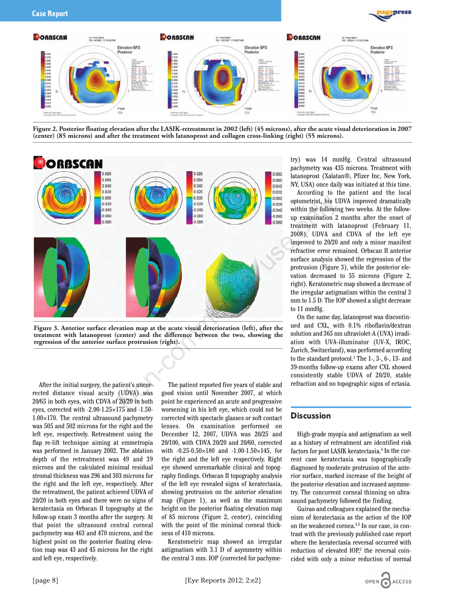



**Figure 2. Posterior floating elevation after the LASIK-retreatment in 2002 (left) (45 microns), after the acute visual deterioration in 2007 (center) (85 microns) and after the treatment with latanoprost and collagen cross-linking (right) (55 microns).**



**Figure 3. Anterior surface elevation map at the acute visual deterioration (left), after the treatment with latanoprost (center) and the difference between the two, showing the regression of the anterior surface protrusion (right).**

After the initial surgery, the patient's uncorrected distance visual acuity (UDVA) was 20/65 in both eyes, with CDVA of 20/20 in both eyes, corrected with  $-2.00-1.25\times175$  and  $-1.50 1.00\times170$ . The central ultrasound pachymetry was 505 and 502 microns for the right and the left eye, respectively. Retreatment using the flap re-lift technique aiming at emmetropia was performed in January 2002. The ablation depth of the retreatment was 49 and 39 microns and the calculated minimal residual stromal thickness was 296 and 303 microns for the right and the left eye, respectively. After the retreatment, the patient achieved UDVA of 20/20 in both eyes and there were no signs of keratectasia on Orbscan II topography at the follow-up exam 3 months after the surgery. At that point the ultrasound central corneal pachymetry was 463 and 470 microns, and the highest point on the posterior floating elevation map was 43 and 45 microns for the right and left eye, respectively.

The patient reported five years of stable and good vision until November 2007, at which point he experienced an acute and progressive worsening in his left eye, which could not be corrected with spectacle glasses or soft contact lenses. On examination performed on December 12, 2007, UDVA was 20/25 and 20/100, with CDVA 20/20 and 20/60, corrected with  $-0.25 - 0.50 \times 180$  and  $-1.00 - 1.50 \times 145$ , for the right and the left eye respectively. Right eye showed unremarkable clinical and topography findings. Orbscan II topography analysis of the left eye revealed signs of keratectasia, showing protrusion on the anterior elevation map (Figure 1), as well as the maximum height on the posterior floating elevation map of 85 microns (Figure 2, center), coinciding with the point of the minimal corneal thickness of 410 microns.

Keratometric map showed an irregular astigmatism with 3.1 D of asymmetry within the central 3 mm. IOP (corrected for pachymetry) was 14 mmHg. Central ultrasound pachymetry was 435 microns. Treatment with latanoprost (Xalatan®, Pfizer Inc, New York, NY, USA) once daily was initiated at this time.

According to the patient and the local optometrist, his UDVA improved dramatically within the following two weeks. At the followup examination 2 months after the onset of treatment with latanoprost (February 11, 2008), UDVA and CDVA of the left eye improved to 20/20 and only a minor manifest refractive error remained. Orbscan II anterior surface analysis showed the regression of the protrusion (Figure 3), while the posterior elevation decreased to 55 microns (Figure 2, right). Keratometric map showed a decrease of the irregular astigmatism within the central 3 mm to 1.5 D. The IOP showed a slight decrease to 11 mmHg.

On the same day, latanoprost was discontinued and CXL, with 0.1% riboflavin/dextran solution and 365 nm ultraviolet-A (UVA) irradiation with UVA-illuminator (UV-X, IROC, Zurich, Switzerland), was performed according to the standard protocol.3 The 1-, 3-, 6-, 13- and 39-months follow-up exams after CXL showed consistently stable UDVA of 20/20, stable refraction and no topographic signs of ectasia.

#### **Discussion**

High-grade myopia and astigmatism as well as a history of retreatment are identified risk factors for post LASIK keratectasia.<sup>4</sup> In the current case keratectasia was topographically diagnosed by moderate protrusion of the anterior surface, marked increase of the height of the posterior elevation and increased asymmetry. The concurrent corneal thinning on ultrasound pachymetry followed the finding.

Guirao and colleagues explained the mechanism of keratectasia as the action of the IOP on the weakened cornea.4,5 In our case, in contrast with the previously published case report where the keratectasia reversal occurred with reduction of elevated IOP,<sup>2</sup> the reversal coincided with only a minor reduction of normal